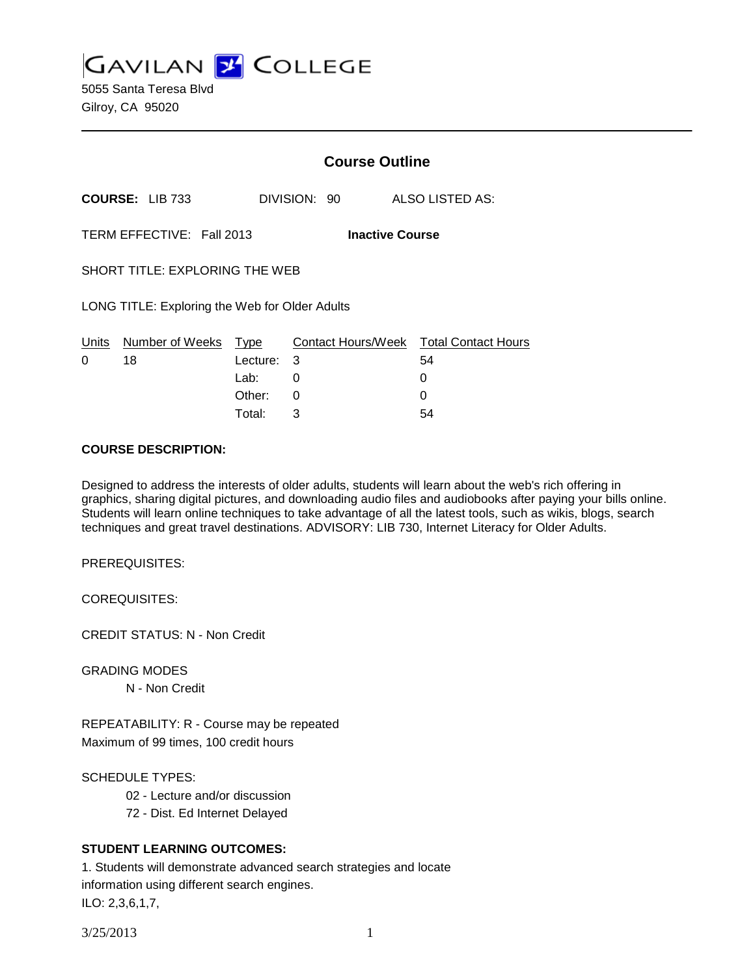**GAVILAN 2 COLLEGE** 

5055 Santa Teresa Blvd Gilroy, CA 95020

|                                                     |                        | <b>Course Outline</b> |              |                                              |
|-----------------------------------------------------|------------------------|-----------------------|--------------|----------------------------------------------|
|                                                     | <b>COURSE: LIB 733</b> |                       | DIVISION: 90 | ALSO LISTED AS:                              |
| TERM EFFECTIVE: Fall 2013<br><b>Inactive Course</b> |                        |                       |              |                                              |
| <b>SHORT TITLE: EXPLORING THE WEB</b>               |                        |                       |              |                                              |
| LONG TITLE: Exploring the Web for Older Adults      |                        |                       |              |                                              |
| Units<br>0                                          | Number of Weeks<br>18  | Type<br>Lecture:      | -3           | Contact Hours/Week Total Contact Hours<br>54 |
|                                                     |                        | Lab:                  | 0            | 0                                            |
|                                                     |                        | Other:                | ი            |                                              |

#### **COURSE DESCRIPTION:**

Designed to address the interests of older adults, students will learn about the web's rich offering in graphics, sharing digital pictures, and downloading audio files and audiobooks after paying your bills online. Students will learn online techniques to take advantage of all the latest tools, such as wikis, blogs, search techniques and great travel destinations. ADVISORY: LIB 730, Internet Literacy for Older Adults.

Total: 3 54

PREREQUISITES:

COREQUISITES:

CREDIT STATUS: N - Non Credit

GRADING MODES

N - Non Credit

REPEATABILITY: R - Course may be repeated Maximum of 99 times, 100 credit hours

SCHEDULE TYPES:

02 - Lecture and/or discussion

72 - Dist. Ed Internet Delayed

### **STUDENT LEARNING OUTCOMES:**

1. Students will demonstrate advanced search strategies and locate information using different search engines. ILO: 2,3,6,1,7,

3/25/2013 1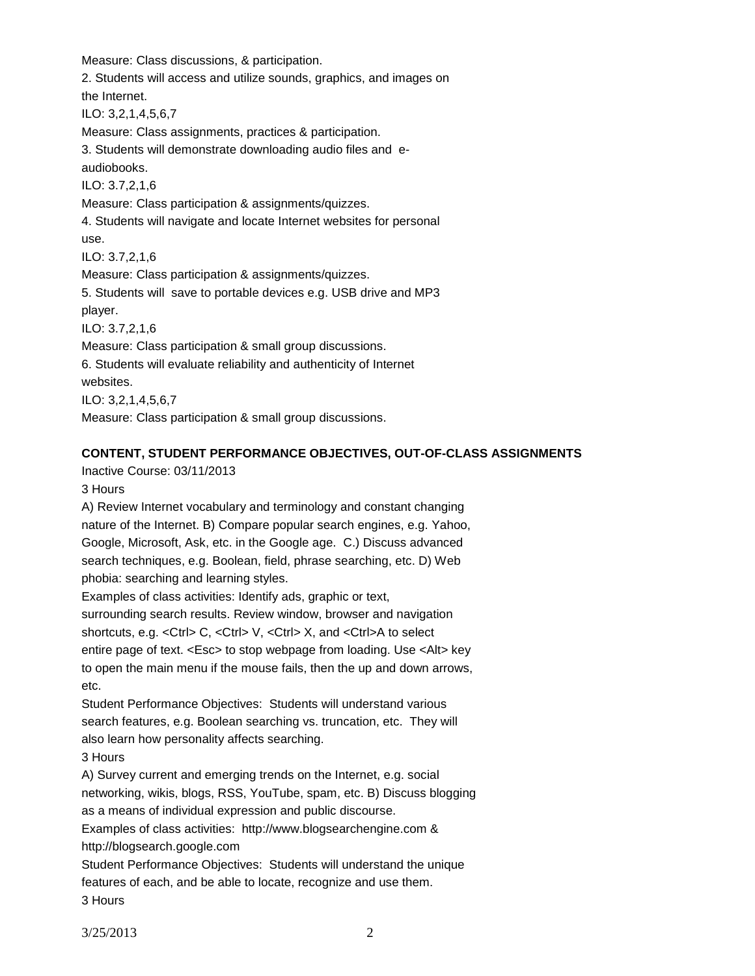Measure: Class discussions, & participation.

2. Students will access and utilize sounds, graphics, and images on

the Internet.

ILO: 3,2,1,4,5,6,7

Measure: Class assignments, practices & participation.

3. Students will demonstrate downloading audio files and eaudiobooks. ILO: 3.7,2,1,6

Measure: Class participation & assignments/quizzes.

4. Students will navigate and locate Internet websites for personal use.

ILO: 3.7,2,1,6

Measure: Class participation & assignments/quizzes.

5. Students will save to portable devices e.g. USB drive and MP3 player.

ILO: 3.7,2,1,6

Measure: Class participation & small group discussions.

6. Students will evaluate reliability and authenticity of Internet

websites.

ILO: 3,2,1,4,5,6,7

Measure: Class participation & small group discussions.

## **CONTENT, STUDENT PERFORMANCE OBJECTIVES, OUT-OF-CLASS ASSIGNMENTS**

Inactive Course: 03/11/2013

3 Hours

A) Review Internet vocabulary and terminology and constant changing nature of the Internet. B) Compare popular search engines, e.g. Yahoo, Google, Microsoft, Ask, etc. in the Google age. C.) Discuss advanced search techniques, e.g. Boolean, field, phrase searching, etc. D) Web phobia: searching and learning styles.

Examples of class activities: Identify ads, graphic or text,

surrounding search results. Review window, browser and navigation shortcuts, e.g. <Ctrl> C, <Ctrl> V, <Ctrl> X, and <Ctrl>A to select entire page of text. <Esc> to stop webpage from loading. Use <Alt> key to open the main menu if the mouse fails, then the up and down arrows, etc.

Student Performance Objectives: Students will understand various search features, e.g. Boolean searching vs. truncation, etc. They will also learn how personality affects searching.

3 Hours

A) Survey current and emerging trends on the Internet, e.g. social networking, wikis, blogs, RSS, YouTube, spam, etc. B) Discuss blogging as a means of individual expression and public discourse. Examples of class activities: http://www.blogsearchengine.com &

http://blogsearch.google.com

Student Performance Objectives: Students will understand the unique features of each, and be able to locate, recognize and use them. 3 Hours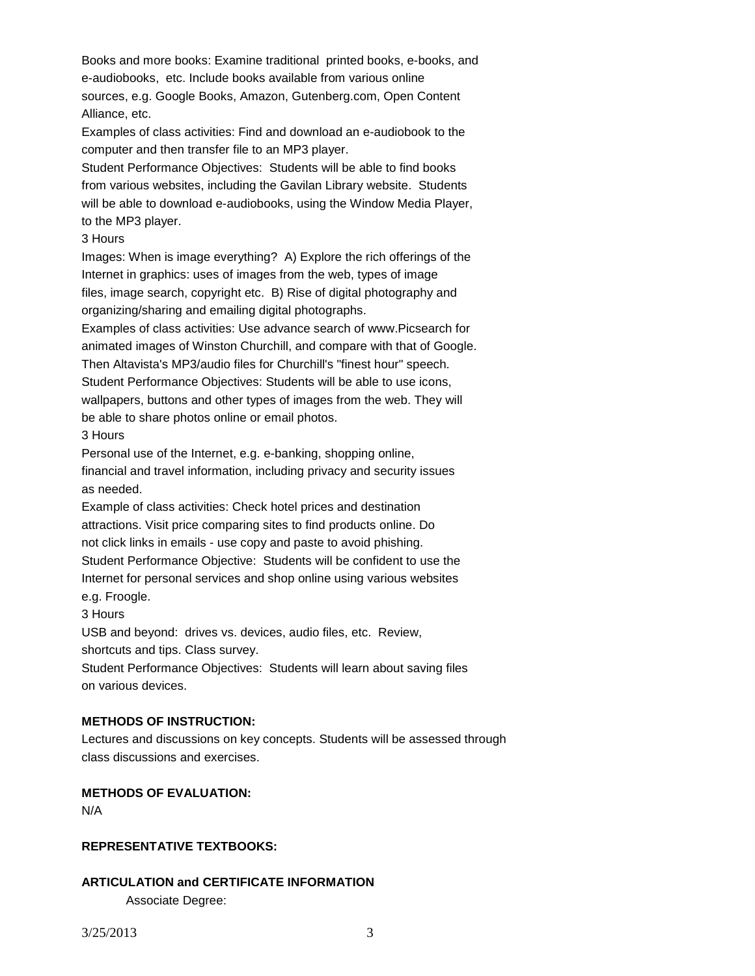Books and more books: Examine traditional printed books, e-books, and e-audiobooks, etc. Include books available from various online sources, e.g. Google Books, Amazon, Gutenberg.com, Open Content Alliance, etc.

Examples of class activities: Find and download an e-audiobook to the computer and then transfer file to an MP3 player.

Student Performance Objectives: Students will be able to find books from various websites, including the Gavilan Library website. Students will be able to download e-audiobooks, using the Window Media Player, to the MP3 player.

#### 3 Hours

Images: When is image everything? A) Explore the rich offerings of the Internet in graphics: uses of images from the web, types of image files, image search, copyright etc. B) Rise of digital photography and organizing/sharing and emailing digital photographs.

Examples of class activities: Use advance search of www.Picsearch for animated images of Winston Churchill, and compare with that of Google. Then Altavista's MP3/audio files for Churchill's "finest hour" speech. Student Performance Objectives: Students will be able to use icons, wallpapers, buttons and other types of images from the web. They will be able to share photos online or email photos.

3 Hours

Personal use of the Internet, e.g. e-banking, shopping online, financial and travel information, including privacy and security issues as needed.

Example of class activities: Check hotel prices and destination attractions. Visit price comparing sites to find products online. Do not click links in emails - use copy and paste to avoid phishing. Student Performance Objective: Students will be confident to use the Internet for personal services and shop online using various websites e.g. Froogle.

3 Hours

USB and beyond: drives vs. devices, audio files, etc. Review, shortcuts and tips. Class survey.

Student Performance Objectives: Students will learn about saving files on various devices.

## **METHODS OF INSTRUCTION:**

Lectures and discussions on key concepts. Students will be assessed through class discussions and exercises.

# **METHODS OF EVALUATION:**

N/A

### **REPRESENTATIVE TEXTBOOKS:**

# **ARTICULATION and CERTIFICATE INFORMATION**

Associate Degree: